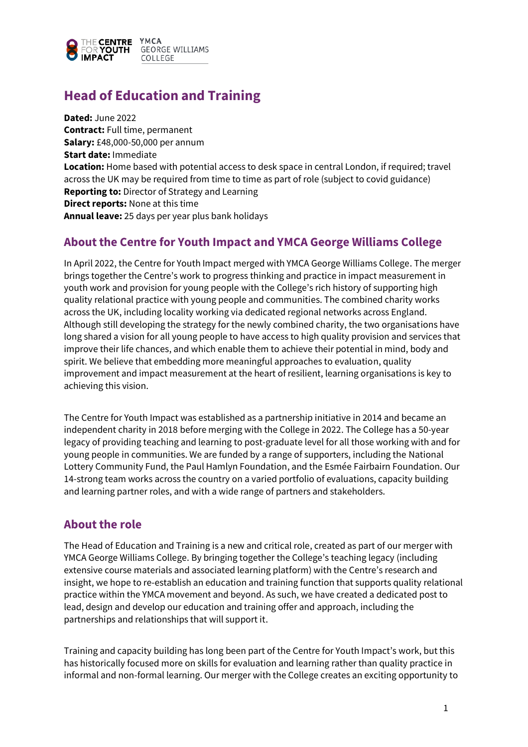

# **Head of Education and Training**

**Dated:** June 2022 **Contract:** Full time, permanent **Salary:** £48,000-50,000 per annum **Start date:** Immediate **Location:** Home based with potential access to desk space in central London, if required; travel across the UK may be required from time to time as part of role (subject to covid guidance) **Reporting to:** Director of Strategy and Learning **Direct reports:** None at this time **Annual leave:** 25 days per year plus bank holidays

### **About the Centre for Youth Impact and YMCA George Williams College**

In April 2022, the Centre for Youth Impact merged with YMCA George Williams College. The merger brings together the Centre's work to progress thinking and practice in impact measurement in youth work and provision for young people with the College's rich history of supporting high quality relational practice with young people and communities. The combined charity works across the UK, including locality working via dedicated regional networks across England. Although still developing the strategy for the newly combined charity, the two organisations have long shared a vision for all young people to have access to high quality provision and services that improve their life chances, and which enable them to achieve their potential in mind, body and spirit. We believe that embedding more meaningful approaches to evaluation, quality improvement and impact measurement at the heart of resilient, learning organisations is key to achieving this vision.

The Centre for Youth Impact was established as a partnership initiative in 2014 and became an independent charity in 2018 before merging with the College in 2022. The College has a 50-year legacy of providing teaching and learning to post-graduate level for all those working with and for young people in communities. We are funded by a range of supporters, including the National Lottery Community Fund, the Paul Hamlyn Foundation, and the Esmée Fairbairn Foundation. Our 14-strong team works across the country on a varied portfolio of evaluations, capacity building and learning partner roles, and with a wide range of partners and stakeholders.

### **About the role**

The Head of Education and Training is a new and critical role, created as part of our merger with YMCA George Williams College. By bringing together the College's teaching legacy (including extensive course materials and associated learning platform) with the Centre's research and insight, we hope to re-establish an education and training function that supports quality relational practice within the YMCA movement and beyond. As such, we have created a dedicated post to lead, design and develop our education and training offer and approach, including the partnerships and relationships that will support it.

Training and capacity building has long been part of the Centre for Youth Impact's work, but this has historically focused more on skills for evaluation and learning rather than quality practice in informal and non-formal learning. Our merger with the College creates an exciting opportunity to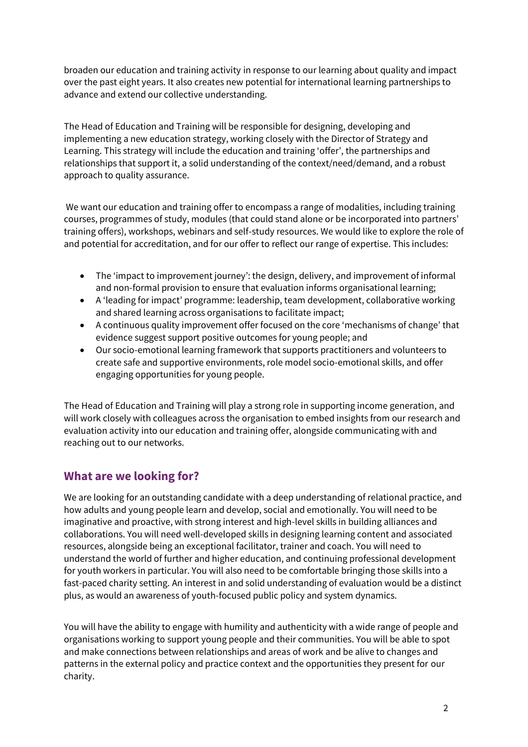broaden our education and training activity in response to our learning about quality and impact over the past eight years. It also creates new potential for international learning partnerships to advance and extend our collective understanding.

The Head of Education and Training will be responsible for designing, developing and implementing a new education strategy, working closely with the Director of Strategy and Learning. This strategy will include the education and training 'offer', the partnerships and relationships that support it, a solid understanding of the context/need/demand, and a robust approach to quality assurance.

We want our education and training offer to encompass a range of modalities, including training courses, programmes of study, modules (that could stand alone or be incorporated into partners' training offers), workshops, webinars and self-study resources. We would like to explore the role of and potential for accreditation, and for our offer to reflect our range of expertise. This includes:

- The 'impact to improvement journey': the design, delivery, and improvement of informal and non-formal provision to ensure that evaluation informs organisational learning;
- A 'leading for impact' programme: leadership, team development, collaborative working and shared learning across organisations to facilitate impact;
- A continuous quality improvement offer focused on the core 'mechanisms of change' that evidence suggest support positive outcomes for young people; and
- Our socio-emotional learning framework that supports practitioners and volunteers to create safe and supportive environments, role model socio-emotional skills, and offer engaging opportunities for young people.

The Head of Education and Training will play a strong role in supporting income generation, and will work closely with colleagues across the organisation to embed insights from our research and evaluation activity into our education and training offer, alongside communicating with and reaching out to our networks.

### **What are we looking for?**

We are looking for an outstanding candidate with a deep understanding of relational practice, and how adults and young people learn and develop, social and emotionally. You will need to be imaginative and proactive, with strong interest and high-level skills in building alliances and collaborations. You will need well-developed skills in designing learning content and associated resources, alongside being an exceptional facilitator, trainer and coach. You will need to understand the world of further and higher education, and continuing professional development for youth workers in particular. You will also need to be comfortable bringing those skills into a fast-paced charity setting. An interest in and solid understanding of evaluation would be a distinct plus, as would an awareness of youth-focused public policy and system dynamics.

You will have the ability to engage with humility and authenticity with a wide range of people and organisations working to support young people and their communities. You will be able to spot and make connections between relationships and areas of work and be alive to changes and patterns in the external policy and practice context and the opportunities they present for our charity.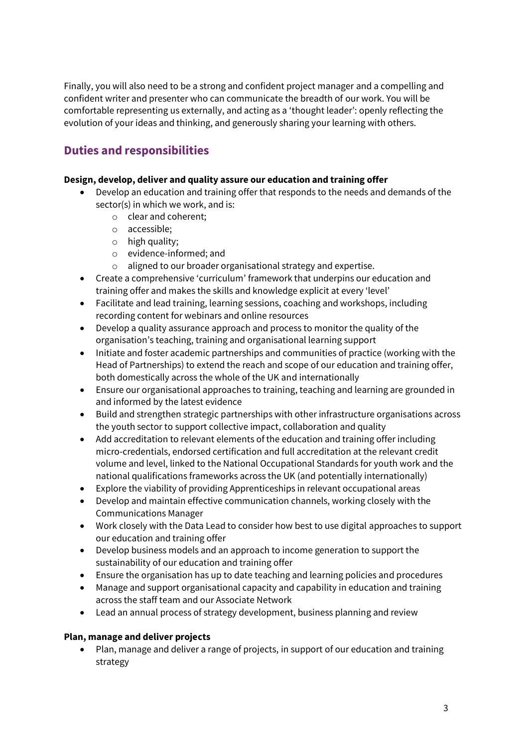Finally, you will also need to be a strong and confident project manager and a compelling and confident writer and presenter who can communicate the breadth of our work. You will be comfortable representing us externally, and acting as a 'thought leader': openly reflecting the evolution of your ideas and thinking, and generously sharing your learning with others.

## **Duties and responsibilities**

### **Design, develop, deliver and quality assure our education and training offer**

- Develop an education and training offer that responds to the needs and demands of the sector(s) in which we work, and is:
	- o clear and coherent;
	- o accessible;
	- o high quality;
	- o evidence-informed; and
	- o aligned to our broader organisational strategy and expertise.
- Create a comprehensive 'curriculum' framework that underpins our education and training offer and makes the skills and knowledge explicit at every 'level'
- Facilitate and lead training, learning sessions, coaching and workshops, including recording content for webinars and online resources
- Develop a quality assurance approach and process to monitor the quality of the organisation's teaching, training and organisational learning support
- Initiate and foster academic partnerships and communities of practice (working with the Head of Partnerships) to extend the reach and scope of our education and training offer, both domestically across the whole of the UK and internationally
- Ensure our organisational approaches to training, teaching and learning are grounded in and informed by the latest evidence
- Build and strengthen strategic partnerships with other infrastructure organisations across the youth sector to support collective impact, collaboration and quality
- Add accreditation to relevant elements of the education and training offer including micro-credentials, endorsed certification and full accreditation at the relevant credit volume and level, linked to the National Occupational Standards for youth work and the national qualifications frameworks across the UK (and potentially internationally)
- Explore the viability of providing Apprenticeships in relevant occupational areas
- Develop and maintain effective communication channels, working closely with the Communications Manager
- Work closely with the Data Lead to consider how best to use digital approaches to support our education and training offer
- Develop business models and an approach to income generation to support the sustainability of our education and training offer
- Ensure the organisation has up to date teaching and learning policies and procedures
- Manage and support organisational capacity and capability in education and training across the staff team and our Associate Network
- Lead an annual process of strategy development, business planning and review

#### **Plan, manage and deliver projects**

• Plan, manage and deliver a range of projects, in support of our education and training strategy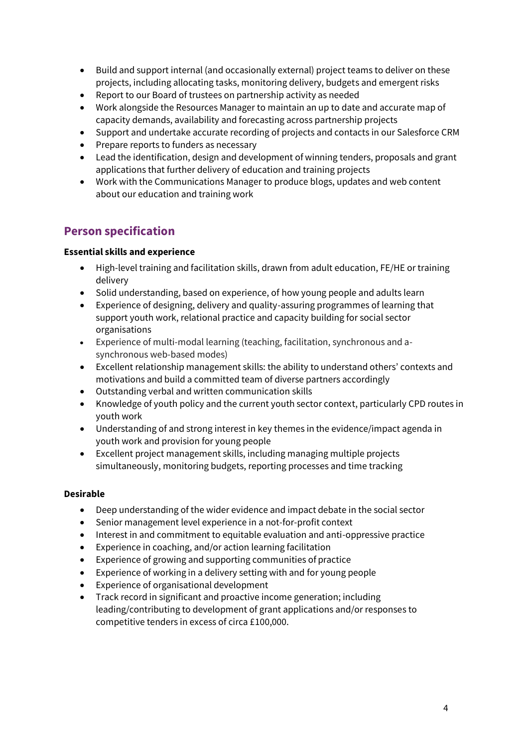- Build and support internal (and occasionally external) project teams to deliver on these projects, including allocating tasks, monitoring delivery, budgets and emergent risks
- Report to our Board of trustees on partnership activity as needed
- Work alongside the Resources Manager to maintain an up to date and accurate map of capacity demands, availability and forecasting across partnership projects
- Support and undertake accurate recording of projects and contacts in our Salesforce CRM
- Prepare reports to funders as necessary
- Lead the identification, design and development of winning tenders, proposals and grant applications that further delivery of education and training projects
- Work with the Communications Manager to produce blogs, updates and web content about our education and training work

### **Person specification**

#### **Essential skills and experience**

- High-level training and facilitation skills, drawn from adult education, FE/HE or training delivery
- Solid understanding, based on experience, of how young people and adults learn
- Experience of designing, delivery and quality-assuring programmes of learning that support youth work, relational practice and capacity building for social sector organisations
- Experience of multi-modal learning (teaching, facilitation, synchronous and asynchronous web-based modes)
- Excellent relationship management skills: the ability to understand others' contexts and motivations and build a committed team of diverse partners accordingly
- Outstanding verbal and written communication skills
- Knowledge of youth policy and the current youth sector context, particularly CPD routes in youth work
- Understanding of and strong interest in key themes in the evidence/impact agenda in youth work and provision for young people
- Excellent project management skills, including managing multiple projects simultaneously, monitoring budgets, reporting processes and time tracking

#### **Desirable**

- Deep understanding of the wider evidence and impact debate in the social sector
- Senior management level experience in a not-for-profit context
- Interest in and commitment to equitable evaluation and anti-oppressive practice
- Experience in coaching, and/or action learning facilitation
- Experience of growing and supporting communities of practice
- Experience of working in a delivery setting with and for young people
- Experience of organisational development
- Track record in significant and proactive income generation; including leading/contributing to development of grant applications and/or responses to competitive tenders in excess of circa £100,000.